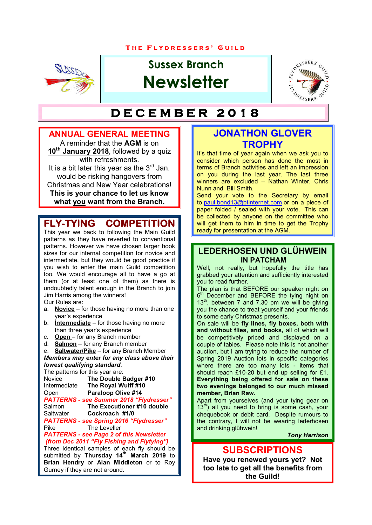#### **T H E F L Y D R E S S E R S ' G U I L D**



# **Sussex Branch Newsletter**



# $DECEMBER 2018$

#### **ANNUAL GENERAL MEETING**

A reminder that the **AGM** is on 10<sup>th</sup> January 2018, followed by a quiz with refreshments. It is a bit later this year as the  $3<sup>rd</sup>$  Jan. would be risking hangovers from Christmas and New Year celebrations! **This is your chance to let us know what you want from the Branch.**

# **FLY-TYING COMPETITION**

This year we back to following the Main Guild patterns as they have reverted to conventional patterns. However we have chosen larger hook sizes for our internal competition for novice and intermediate, but they would be good practice if you wish to enter the main Guild competition too. We would encourage all to have a go at them (or at least one of them) as there is undoubtedly talent enough in the Branch to join Jim Harris among the winners!

Our Rules are:

- a. **Novice** for those having no more than one year's experience
- b. **Intermediate** for those having no more than three year's experience
- c. **Open** for any Branch member
- d. **Salmon** for any Branch member

e. **Saltwater/Pike** – for any Branch Member *Members may enter for any class above their lowest qualifying standard*.

The patterns for this year are:<br>Novice **The Double E** Novice **The Double Badger #10**<br>Intermediate **The Roval Wulff #10 The Royal Wulff #10** Open **Paraloop Olive #14** *PATTERNS - see Summer 2018 "Flydresser"* Salmon **The Executioner #10 double**<br>Saltwater **Cockroach #1/0** Cockroach #1/0 *PATTERNS - see Spring 2016 "Flydresser"* The Leveller *PATTERNS - see Page 2 of this Newsletter (from Dec 2011 "Fly Fishing and Flytying")*

Three identical samples of each fly should be submitted by **Thursday 14th March 2019** to **Brian Hendry** or **Alan Middleton** or to Roy Gurney if they are not around.

### **JONATHON GLOVER TROPHY**

It's that time of year again when we ask you to consider which person has done the most in terms of Branch activities and left an impression on you during the last year. The last three winners are excluded – Nathan Winter, Chris Nunn and Bill Smith.

Send your vote to the Secretary by email to paul.bond13@btinternet.com or on a piece of paper folded / sealed with your vote. This can be collected by anyone on the committee who will get them to him in time to get the Trophy ready for presentation at the AGM.

### **LEDERHOSEN UND GLÜHWEIN IN PATCHAM**

Well, not really, but hopefully the title has grabbed your attention and sufficiently interested you to read further.

The plan is that BEFORE our speaker night on  $6<sup>m</sup>$  December and BEFORE the tying night on 13<sup>th</sup>, between 7 and 7.30 pm we will be giving you the chance to treat yourself and your friends to some early Christmas presents.

On sale will be **fly lines, fly boxes, both with and without flies, and books,** all of which will be competitively priced and displayed on a couple of tables. Please note this is not another auction, but I am trying to reduce the number of Spring 2019 Auction lots in specific categories where there are too many lots - items that should reach £10-20 but end up selling for £1. **Everything being offered for sale on these two evenings belonged to our much missed member, Brian Raw.**

Apart from yourselves (and your tying gear on  $13<sup>th</sup>$ ) all you need to bring is some cash, your chequebook or debit card. Despite rumours to the contrary, I will not be wearing lederhosen and drinking glühwein!

*Tony Harrison*

### **SUBSCRIPTIONS**

**Have you renewed yours yet? Not too late to get all the benefits from the Guild!**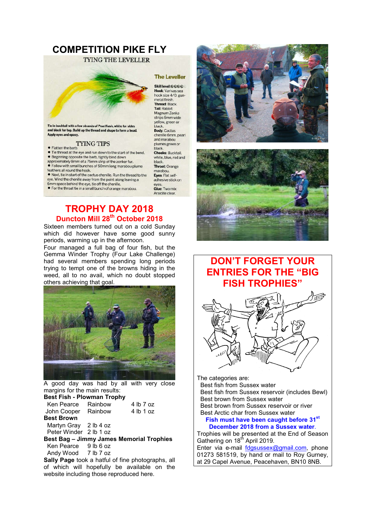# **COMPETITION PIKE FLY**

**TYING THE LEVELLER** 



te for : and black for top. Build up the thread and shape to form a head. Apply eyes and epoxy.

#### **TYING TIPS**

· Flatten the barb . Tie thread at the eye and run down to the start of the bend.

- · Beginning opposite the barb, tightly bind down<br>approximately 8mm of a 75mm strip of the zonker fur. . Follow with small bunches of 50mm long marabou plume
- feathers all round the hook.
- . Next, tie in start of the cactus chenille. Run the thread to the
- eye. Wind the chenille away from the point along leaving a<br>6mm space behind the eye, tie off the chenille.

• For the throat tie in a small bunch of orange marabou.

### **TROPHY DAY 2018 Duncton Mill 28th October 2018**

Sixteen members turned out on a cold Sunday which did however have some good sunny periods, warming up in the afternoon.

Four managed a full bag of four fish, but the Gemma Winder Trophy (Four Lake Challenge) had several members spending long periods trying to tempt one of the browns hiding in the weed, all to no avail, which no doubt stopped others achieving that goal.



A good day was had by all with very close margins for the main results:<br>Best Fish Blowman Tranh **Best Fish - Plowman Trophy**

| <b>Desti isil - Flowillall Trophy</b>    |  |           |  |  |
|------------------------------------------|--|-----------|--|--|
| Ken Pearce Rainbow                       |  | 4 lb 7 oz |  |  |
| John Cooper Rainbow                      |  | 4 lb 1 oz |  |  |
| <b>Best Brown</b>                        |  |           |  |  |
| Martyn Gray 2 lb 4 oz                    |  |           |  |  |
| Peter Winder 2 lb 1 oz                   |  |           |  |  |
| Best Bag - Jimmy James Memorial Trophies |  |           |  |  |
| Ken Pearce 9 lb 6 oz                     |  |           |  |  |
|                                          |  |           |  |  |

Andy Wood 7 lb 7 oz

**Sally Page** took a hatful of fine photographs, all of which will hopefully be available on the website including those reproduced here.

#### **The Leveller**

Skill level:@@@@ Hook: Varivas sea hook size 4/0, gunmetal finish. **Thread: Black.** Tail: Rabbit Magnum Zonka strips 6mm wide yellow, green or<br>black. Body: Cactus chenille 6mm, pearl and marabou plumes green or black.<br>Cheeks: Bucktail, white, blue, red and black. **Throat: Orange** marabou.<br>Eyes: Flat selfadhesive stick on eyes. Glue: Two mix Araldite clear.





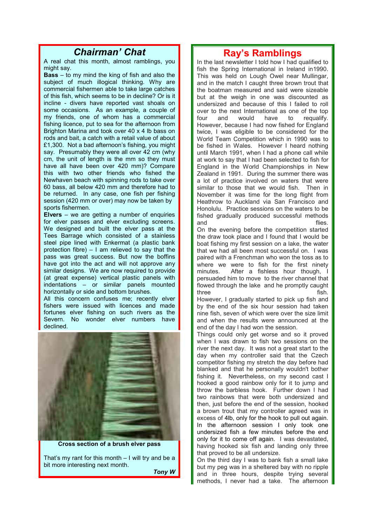## *Chairman' Chat*

A real chat this month, almost ramblings, you might say.

**Bass** – to my mind the king of fish and also the subject of much illogical thinking. Why are commercial fishermen able to take large catches of this fish, which seems to be in decline? Or is it incline - divers have reported vast shoals on some occasions. As an example, a couple of my friends, one of whom has a commercial fishing licence, put to sea for the afternoon from Brighton Marina and took over 40 x 4 lb bass on rods and bait, a catch with a retail value of about £1,300. Not a bad afternoon's fishing, you might say. Presumably they were all over 42 cm (why cm, the unit of length is the mm so they must have all have been over 420 mm)? Compare this with two other friends who fished the Newhaven beach with spinning rods to take over 60 bass, all below 420 mm and therefore had to be returned. In any case, one fish per fishing session (420 mm or over) may now be taken by sports fishermen.

**Elvers** – we are getting a number of enquiries for elver passes and elver excluding screens. We designed and built the elver pass at the Tees Barrage which consisted of a stainless steel pipe lined with Enkermat (a plastic bank protection fibre) – I am relieved to say that the pass was great success. But now the boffins have got into the act and will not approve any similar designs. We are now required to provide (at great expense) vertical plastic panels with indentations – or similar panels mounted horizontally or side and bottom brushes.

All this concern confuses me; recently elver fishers were issued with licences and made fortunes elver fishing on such rivers as the Severn. No wonder elver numbers have declined.



**Cross section of a brush elver pass**

That's my rant for this month – I will try and be a bit more interesting next month.

*Tony W*

### **Ray's Ramblings**

In the last newsletter I told how I had qualified to fish the Spring International in Ireland in1990. This was held on Lough Owel near Mullingar, and in the match I caught three brown trout that the boatman measured and said were sizeable but at the weigh in one was discounted as undersized and because of this I failed to roll over to the next International as one of the top four and would have to requalify. However, because I had now fished for England twice, I was eligible to be considered for the World Team Competition which in 1990 was to be fished in Wales. However I heard nothing until March 1991, when I had a phone call while at work to say that I had been selected to fish for England in the World Championships in New Zealand in 1991. During the summer there was a lot of practice involved on waters that were similar to those that we would fish. Then in November it was time for the long flight from Heathrow to Auckland via San Francisco and Honolulu. Practice sessions on the waters to be fished gradually produced successful methods and flies.

On the evening before the competition started the draw took place and I found that I would be boat fishing my first session on a lake, the water that we had all been most successful on. I was paired with a Frenchman who won the toss as to where we were to fish for the first ninety minutes. After a fishless hour though, I persuaded him to move to the river channel that flowed through the lake and he promptly caught three fish.

However, I gradually started to pick up fish and by the end of the six hour session had taken nine fish, seven of which were over the size limit and when the results were announced at the end of the day I had won the session.

Things could only get worse and so it proved when I was drawn to fish two sessions on the river the next day. It was not a great start to the day when my controller said that the Czech competitor fishing my stretch the day before had blanked and that he personally wouldn't bother fishing it. Nevertheless, on my second cast I hooked a good rainbow only for it to jump and throw the barbless hook. Further down I had two rainbows that were both undersized and then, just before the end of the session, hooked a brown trout that my controller agreed was in excess of 4lb, only for the hook to pull out again. In the afternoon session I only took one undersized fish a few minutes before the end only for it to come off again. I was devastated, having hooked six fish and landing only three that proved to be all undersize.

On the third day I was to bank fish a small lake but my peg was in a sheltered bay with no ripple and in three hours, despite trying several methods, I never had a take. The afternoon